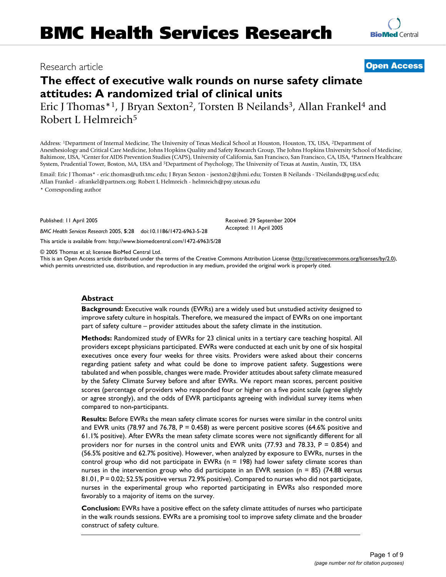## Research article **[Open Access](http://www.biomedcentral.com/info/about/charter/)**

# **The effect of executive walk rounds on nurse safety climate attitudes: A randomized trial of clinical units**

Eric J Thomas<sup>\*1</sup>, J Bryan Sexton<sup>2</sup>, Torsten B Neilands<sup>3</sup>, Allan Frankel<sup>4</sup> and Robert L Helmreich5

Address: <sup>1</sup>Department of Internal Medicine, The University of Texas Medical School at Houston, Houston, TX, USA, <sup>2</sup>Department of Anesthesiology and Critical Care Medicine, Johns Hopkins Quality and Safety Research Group, The Johns Hopkins University School of Medicine, Baltimore, USA, 3Center for AIDS Prevention Studies (CAPS), University of California, San Francisco, San Francisco, CA, USA, 4Partners Healthcare System, Prudential Tower, Boston, MA, USA and 5Department of Psychology, The University of Texas at Austin, Austin, TX, USA

Email: Eric J Thomas\* - eric.thomas@uth.tmc.edu; J Bryan Sexton - jsexton2@jhmi.edu; Torsten B Neilands - TNeilands@psg.ucsf.edu; Allan Frankel - afrankel@partners.org; Robert L Helmreich - helmreich@psy.utexas.edu

\* Corresponding author

Published: 11 April 2005

*BMC Health Services Research* 2005, **5**:28 doi:10.1186/1472-6963-5-28

[This article is available from: http://www.biomedcentral.com/1472-6963/5/28](http://www.biomedcentral.com/1472-6963/5/28)

© 2005 Thomas et al; licensee BioMed Central Ltd.

This is an Open Access article distributed under the terms of the Creative Commons Attribution License [\(http://creativecommons.org/licenses/by/2.0\)](http://creativecommons.org/licenses/by/2.0), which permits unrestricted use, distribution, and reproduction in any medium, provided the original work is properly cited.

### **Abstract**

**Background:** Executive walk rounds (EWRs) are a widely used but unstudied activity designed to improve safety culture in hospitals. Therefore, we measured the impact of EWRs on one important part of safety culture – provider attitudes about the safety climate in the institution.

**Methods:** Randomized study of EWRs for 23 clinical units in a tertiary care teaching hospital. All providers except physicians participated. EWRs were conducted at each unit by one of six hospital executives once every four weeks for three visits. Providers were asked about their concerns regarding patient safety and what could be done to improve patient safety. Suggestions were tabulated and when possible, changes were made. Provider attitudes about safety climate measured by the Safety Climate Survey before and after EWRs. We report mean scores, percent positive scores (percentage of providers who responded four or higher on a five point scale (agree slightly or agree strongly), and the odds of EWR participants agreeing with individual survey items when compared to non-participants.

**Results:** Before EWRs the mean safety climate scores for nurses were similar in the control units and EWR units (78.97 and 76.78,  $P = 0.458$ ) as were percent positive scores (64.6% positive and 61.1% positive). After EWRs the mean safety climate scores were not significantly different for all providers nor for nurses in the control units and EWR units (77.93 and 78.33, P = 0.854) and (56.5% positive and 62.7% positive). However, when analyzed by exposure to EWRs, nurses in the control group who did not participate in EWRs ( $n = 198$ ) had lower safety climate scores than nurses in the intervention group who did participate in an EWR session ( $n = 85$ ) (74.88 versus 81.01, P = 0.02; 52.5% positive versus 72.9% positive). Compared to nurses who did not participate, nurses in the experimental group who reported participating in EWRs also responded more favorably to a majority of items on the survey.

**Conclusion:** EWRs have a positive effect on the safety climate attitudes of nurses who participate in the walk rounds sessions. EWRs are a promising tool to improve safety climate and the broader construct of safety culture.

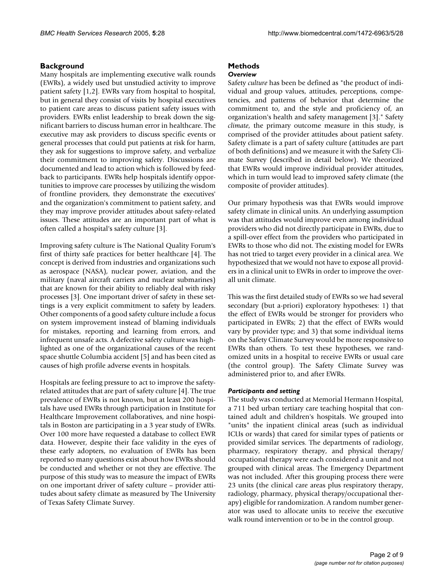#### **Background**

Many hospitals are implementing executive walk rounds (EWRs), a widely used but unstudied activity to improve patient safety [1,2]. EWRs vary from hospital to hospital, but in general they consist of visits by hospital executives to patient care areas to discuss patient safety issues with providers. EWRs enlist leadership to break down the significant barriers to discuss human error in healthcare. The executive may ask providers to discuss specific events or general processes that could put patients at risk for harm, they ask for suggestions to improve safety, and verbalize their commitment to improving safety. Discussions are documented and lead to action which is followed by feedback to participants. EWRs help hospitals identify opportunities to improve care processes by utilizing the wisdom of frontline providers, they demonstrate the executives' and the organization's commitment to patient safety, and they may improve provider attitudes about safety-related issues. These attitudes are an important part of what is often called a hospital's safety culture [3].

Improving safety culture is The National Quality Forum's first of thirty safe practices for better healthcare [4]. The concept is derived from industries and organizations such as aerospace (NASA), nuclear power, aviation, and the military (naval aircraft carriers and nuclear submarines) that are known for their ability to reliably deal with risky processes [3]. One important driver of safety in these settings is a very explicit commitment to safety by leaders. Other components of a good safety culture include a focus on system improvement instead of blaming individuals for mistakes, reporting and learning from errors, and infrequent unsafe acts. A defective safety culture was highlighted as one of the organizational causes of the recent space shuttle Columbia accident [5] and has been cited as causes of high profile adverse events in hospitals.

Hospitals are feeling pressure to act to improve the safetyrelated attitudes that are part of safety culture [4]. The true prevalence of EWRs is not known, but at least 200 hospitals have used EWRs through participation in Institute for Healthcare Improvement collaboratives, and nine hospitals in Boston are participating in a 3 year study of EWRs. Over 100 more have requested a database to collect EWR data. However, despite their face validity in the eyes of these early adopters, no evaluation of EWRs has been reported so many questions exist about how EWRs should be conducted and whether or not they are effective. The purpose of this study was to measure the impact of EWRs on one important driver of safety culture – provider attitudes about safety climate as measured by The University of Texas Safety Climate Survey.

# **Methods**

#### *Overview*

Safety *culture* has been be defined as "the product of individual and group values, attitudes, perceptions, competencies, and patterns of behavior that determine the commitment to, and the style and proficiency of, an organization's health and safety management [3]." Safety *climate*, the primary outcome measure in this study, is comprised of the provider attitudes about patient safety. Safety climate is a part of safety culture (attitudes are part of both definitions) and we measure it with the Safety Climate Survey (described in detail below). We theorized that EWRs would improve individual provider attitudes, which in turn would lead to improved safety climate (the composite of provider attitudes).

Our primary hypothesis was that EWRs would improve safety climate in clinical units. An underlying assumption was that attitudes would improve even among individual providers who did not directly participate in EWRs, due to a spill-over effect from the providers who participated in EWRs to those who did not. The existing model for EWRs has not tried to target every provider in a clinical area. We hypothesized that we would not have to expose all providers in a clinical unit to EWRs in order to improve the overall unit climate.

This was the first detailed study of EWRs so we had several secondary (but a-priori) exploratory hypotheses: 1) that the effect of EWRs would be stronger for providers who participated in EWRs; 2) that the effect of EWRs would vary by provider type; and 3) that some individual items on the Safety Climate Survey would be more responsive to EWRs than others. To test these hypotheses, we randomized units in a hospital to receive EWRs or usual care (the control group). The Safety Climate Survey was administered prior to, and after EWRs.

#### *Participants and setting*

The study was conducted at Memorial Hermann Hospital, a 711 bed urban tertiary care teaching hospital that contained adult and children's hospitals. We grouped into "units" the inpatient clinical areas (such as individual ICUs or wards) that cared for similar types of patients or provided similar services. The departments of radiology, pharmacy, respiratory therapy, and physical therapy/ occupational therapy were each considered a unit and not grouped with clinical areas. The Emergency Department was not included. After this grouping process there were 23 units (the clinical care areas plus respiratory therapy, radiology, pharmacy, physical therapy/occupational therapy) eligible for randomization. A random number generator was used to allocate units to receive the executive walk round intervention or to be in the control group.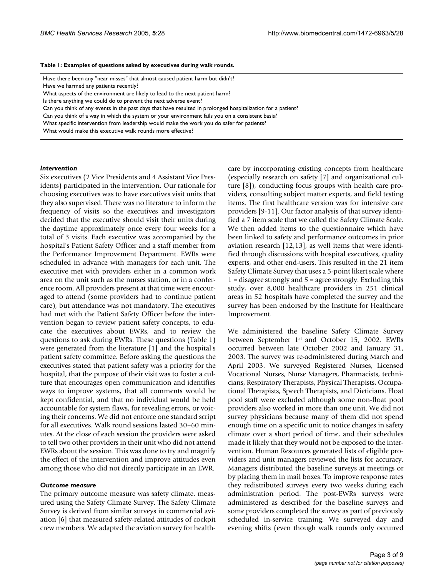#### <span id="page-2-0"></span>**Table 1: Examples of questions asked by executives during walk rounds.**

Have there been any "near misses" that almost caused patient harm but didn't? Have we harmed any patients recently? What aspects of the environment are likely to lead to the next patient harm?

Is there anything we could do to prevent the next adverse event?

Can you think of any events in the past days that have resulted in prolonged hospitalization for a patient?

Can you think of a way in which the system or your environment fails you on a consistent basis?

What specific intervention from leadership would make the work you do safer for patients?

What would make this executive walk rounds more effective?

#### *Intervention*

Six executives (2 Vice Presidents and 4 Assistant Vice Presidents) participated in the intervention. Our rationale for choosing executives was to have executives visit units that they also supervised. There was no literature to inform the frequency of visits so the executives and investigators decided that the executive should visit their units during the daytime approximately once every four weeks for a total of 3 visits. Each executive was accompanied by the hospital's Patient Safety Officer and a staff member from the Performance Improvement Department. EWRs were scheduled in advance with managers for each unit. The executive met with providers either in a common work area on the unit such as the nurses station, or in a conference room. All providers present at that time were encouraged to attend (some providers had to continue patient care), but attendance was not mandatory. The executives had met with the Patient Safety Officer before the intervention began to review patient safety concepts, to educate the executives about EWRs, and to review the questions to ask during EWRs. These questions (Table [1](#page-2-0)) were generated from the literature [1] and the hospital's patient safety committee. Before asking the questions the executives stated that patient safety was a priority for the hospital, that the purpose of their visit was to foster a culture that encourages open communication and identifies ways to improve systems, that all comments would be kept confidential, and that no individual would be held accountable for system flaws, for revealing errors, or voicing their concerns. We did not enforce one standard script for all executives. Walk round sessions lasted 30–60 minutes. At the close of each session the providers were asked to tell two other providers in their unit who did not attend EWRs about the session. This was done to try and magnify the effect of the intervention and improve attitudes even among those who did not directly participate in an EWR.

#### *Outcome measure*

The primary outcome measure was safety climate, measured using the Safety Climate Survey. The Safety Climate Survey is derived from similar surveys in commercial aviation [6] that measured safety-related attitudes of cockpit crew members. We adapted the aviation survey for healthcare by incorporating existing concepts from healthcare (especially research on safety [7] and organizational culture [8]), conducting focus groups with health care providers, consulting subject matter experts, and field testing items. The first healthcare version was for intensive care providers [9-11]. Our factor analysis of that survey identified a 7 item scale that we called the Safety Climate Scale. We then added items to the questionnaire which have been linked to safety and performance outcomes in prior aviation research [12,13], as well items that were identified through discussions with hospital executives, quality experts, and other end-users. This resulted in the 21 item Safety Climate Survey that uses a 5-point likert scale where 1 = disagree strongly and 5 = agree strongly. Excluding this study, over 8,000 healthcare providers in 251 clinical areas in 52 hospitals have completed the survey and the survey has been endorsed by the Institute for Healthcare Improvement.

We administered the baseline Safety Climate Survey between September 1st and October 15, 2002. EWRs occurred between late October 2002 and January 31, 2003. The survey was re-administered during March and April 2003. We surveyed Registered Nurses, Licensed Vocational Nurses, Nurse Managers, Pharmacists, technicians, Respiratory Therapists, Physical Therapists, Occupational Therapists, Speech Therapists, and Dieticians. Float pool staff were excluded although some non-float pool providers also worked in more than one unit. We did not survey physicians because many of them did not spend enough time on a specific unit to notice changes in safety climate over a short period of time, and their schedules made it likely that they would not be exposed to the intervention. Human Resources generated lists of eligible providers and unit managers reviewed the lists for accuracy. Managers distributed the baseline surveys at meetings or by placing them in mail boxes. To improve response rates they redistributed surveys every two weeks during each administration period. The post-EWRs surveys were administered as described for the baseline surveys and some providers completed the survey as part of previously scheduled in-service training. We surveyed day and evening shifts (even though walk rounds only occurred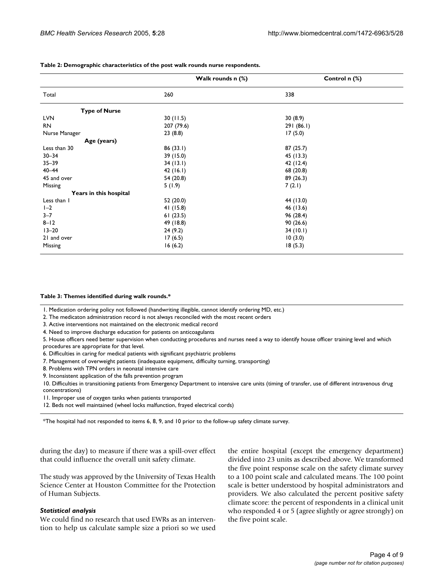|                        | Walk rounds n (%) | Control n (%) |
|------------------------|-------------------|---------------|
| Total                  | 260               | 338           |
| <b>Type of Nurse</b>   |                   |               |
| <b>LVN</b>             | 30(11.5)          | 30(8.9)       |
| <b>RN</b>              | 207 (79.6)        | 291 (86.1)    |
| Nurse Manager          | 23(8.8)           | 17(5.0)       |
| Age (years)            |                   |               |
| Less than 30           | 86(33.1)          | 87(25.7)      |
| $30 - 34$              | 39 (15.0)         | 45 (13.3)     |
| $35 - 39$              | 34(13.1)          | 42 (12.4)     |
| $40 - 44$              | 42(16.1)          | 68 (20.8)     |
| 45 and over            | 54 (20.8)         | 89(26.3)      |
| Missing                | 5(1.9)            | 7(2.1)        |
| Years in this hospital |                   |               |
| Less than I            | 52 (20.0)         | 44 (13.0)     |
| $I-2$                  | 41 (15.8)         | 46 (13.6)     |
| $3 - 7$                | 61(23.5)          | 96 (28.4)     |
| $8 - 12$               | 49 (18.8)         | 90(26.6)      |
| $13 - 20$              | 24(9.2)           | 34(10.1)      |
| 21 and over            | 17(6.5)           | 10(3.0)       |
| Missing                | 16(6.2)           | 18(5.3)       |

#### **Table 2: Demographic characteristics of the post walk rounds nurse respondents.**

#### **Table 3: Themes identified during walk rounds.\***

1. Medication ordering policy not followed (handwriting illegible, cannot identify ordering MD, etc.)

- 2. The medicaton administration record is not always reconciled with the most recent orders
- 3. Active interventions not maintained on the electronic medical record
- 4. Need to improve discharge education for patients on anticoagulants

5. House officers need better supervision when conducting procedures and nurses need a way to identify house officer training level and which procedures are appropriate for that level.

6. Difficulties in caring for medical patients with significant psychiatric problems

- 7. Management of overweight patients (inadequate equipment, difficulty turning, transporting)
- 8. Problems with TPN orders in neonatal intensive care

9. Inconsistent application of the falls prevention program

10. Difficulties in transitioning patients from Emergency Department to intensive care units (timing of transfer, use of different intravenous drug concentrations)

11. Improper use of oxygen tanks when patients transported

12. Beds not well maintained (wheel locks malfunction, frayed electrical cords)

\*The hospital had not responded to items 6, 8, 9, and 10 prior to the follow-up safety climate survey.

during the day) to measure if there was a spill-over effect that could influence the overall unit safety climate.

The study was approved by the University of Texas Health Science Center at Houston Committee for the Protection of Human Subjects.

#### *Statistical analysis*

We could find no research that used EWRs as an intervention to help us calculate sample size a priori so we used the entire hospital (except the emergency department) divided into 23 units as described above. We transformed the five point response scale on the safety climate survey to a 100 point scale and calculated means. The 100 point scale is better understood by hospital administrators and providers. We also calculated the percent positive safety climate score: the percent of respondents in a clinical unit who responded 4 or 5 (agree slightly or agree strongly) on the five point scale.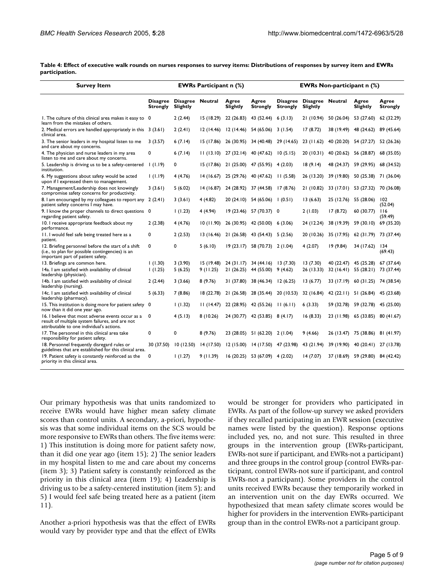| <b>Survey Item</b>                                                                                                                                | <b>EWRs Participant n (%)</b> |                                       |            |                       | <b>EWRs Non-participant n (%)</b> |                 |                                       |              |                   |                          |
|---------------------------------------------------------------------------------------------------------------------------------------------------|-------------------------------|---------------------------------------|------------|-----------------------|-----------------------------------|-----------------|---------------------------------------|--------------|-------------------|--------------------------|
|                                                                                                                                                   | <b>Strongly</b>               | Disagree Disagree Neutral<br>Slightly |            | Agree<br>Slightly     | Agree<br><b>Strongly</b>          | <b>Strongly</b> | Disagree Disagree Neutral<br>Slightly |              | Agree<br>Slightly | Agree<br><b>Strongly</b> |
| 1. The culture of this clinical area makes it easy to 0<br>learn from the mistakes of others.                                                     |                               | 2(2.44)                               | 15(18.29)  | 22(26.83)             | 43 (52.44)                        | 6(3.13)         | 21 (10.94)                            | 50 (26.04)   | 53 (27.60)        | 62 (32.29)               |
| 2. Medical errors are handled appropriately in this 3 (3.61)<br>clinical area.                                                                    |                               | 2(2.41)                               | 12(14.46)  | 12(14.46)             | 54 (65.06)                        | 3(1.54)         | 17(8.72)                              | 38 (19.49)   | 48 (24.62)        | 89 (45.64)               |
| 3. The senior leaders in my hospital listen to me<br>and care about my concerns.                                                                  | 3(3.57)                       | 6(7.14)                               | 15 (17.86) | 26 (30.95)            | 34 (40.48)                        | 29 (14.65)      | 23(11.62)                             | 40 (20.20)   | 54 (27.27)        | 52 (26.26)               |
| 4. The physician and nurse leaders in my area<br>listen to me and care about my concerns.                                                         | 0                             | 6(7.14)                               | 11(13.10)  | 27(32.14)             | 40 (47.62)                        | 10(5.15)        | 20 (10.31)                            | 40 (20.62)   | 56 (28.87)        | 68 (35.05)               |
| 5. Leadership is driving us to be a safety-centered   (1.19)<br>institution.                                                                      |                               | 0                                     | 15 (17.86) | 21 (25.00)            | 47 (55.95)                        | 4(2.03)         | 18(9.14)                              | 48 (24.37)   | 59 (29.95)        | 68 (34.52)               |
| 6. My suggestions about safety would be acted<br>upon if I expressed them to management.                                                          | 1(1.19)                       | 4 (4.76)                              | 14 (16.67) | 25 (29.76)            | 40 (47.62)                        | 11(5.58)        | 26 (13.20)                            | 39 (19.80)   | 50 (25.38)        | 71 (36.04)               |
| 7. Management/Leadership does not knowingly<br>compromise safety concerns for productivity.                                                       | 3(3.61)                       | 5(6.02)                               | 14(16.87)  | 24 (28.92)            | 37 (44.58)                        | 17(8.76)        | 21 (10.82)                            | 33 (17.01)   | 53 (27.32)        | 70 (36.08)               |
| 8. I am encouraged by my colleagues to report any 2 (2.41)<br>patient safety concerns I may have.                                                 |                               | 3(3.61)                               | 4 (4.82)   | 20(24.10)             | 54 (65.06)                        | (0.51)          | 13(6.63)                              | 25 (12.76)   | 55 (28.06)        | 102<br>(52.04)           |
| 9. I know the proper channels to direct questions 0<br>regarding patient safety.                                                                  |                               | (1.23)                                | 4 (4.94)   | 19(23.46)             | 57 (70.37) 0                      |                 | 2(1.03)                               | 17 (8.72)    | 60 (30.77)        | 116<br>(59.49)           |
| 10. I receive appropriate feedback about my<br>performance.                                                                                       | 2(2.38)                       | 4 (4.76)                              | 10(11.90)  | 26 (30.95)            | 42 (50.00)                        | 6(3.06)         | 24 (12.24)                            | 38 (19.39)   | 59 (30.10)        | 69 (35.20)               |
| 11. I would feel safe being treated here as a<br>patient.                                                                                         | 0                             | 2(2.53)                               | 13(16.46)  | 21(26.58)             | 43 (54.43)                        | 5(2.56)         | 20 (10.26)                            | 35 (17.95)   | 62 (31.79)        | 73 (37.44)               |
| 12. Briefing personnel before the start of a shift<br>(i.e., to plan for possible contingencies) is an<br>important part of patient safety.       | $\mathbf 0$                   | $\mathbf 0$                           | 5(6.10)    | 19(23.17)             | 58 (70.73) 2 (1.04)               |                 | 4(2.07)                               | 19 (9.84)    | 34 (17.62)        | 134<br>(69.43)           |
| 13. Briefings are common here.                                                                                                                    | 1(1.30)                       | 3(3.90)                               | 15(19.48)  | 24(31.17)             | 34 (44.16)                        | 13(7.30)        | 13(7.30)                              | 40 (22.47)   | 45 (25.28)        | 67 (37.64)               |
| 14a. I am satisfied with availability of clinical<br>leadership (physician).                                                                      | 1(1.25)                       | 5(6.25)                               | 9(11.25)   | 21(26.25)             | 44 (55.00)                        | 9(4.62)         | 26 (13.33)                            | 32(16.41)    | 55 (28.21)        | 73 (37.44)               |
| 14b. I am satisfied with availability of clinical<br>leadership (nursing).                                                                        | 2(2.44)                       | 3(3.66)                               | 8(9.76)    | 31 (37.80)            | 38 (46.34)                        | 12(6.25)        | 13(6.77)                              | 33 (17.19)   | 60 (31.25)        | 74 (38.54)               |
| 14c. I am satisfied with availability of clinical<br>leadership (pharmacy).                                                                       | 5(6.33)                       | 7(8.86)                               | 18 (22.78) | 21(26.58)             | 28 (35.44)                        | 20 (10.53)      | 32 (16.84)                            | 42 $(22.11)$ | 51 (26.84)        | 45 (23.68)               |
| 15. This institution is doing more for patient safety 0<br>now than it did one year ago.                                                          |                               | (1.32)                                | 11(14.47)  | 22 (28.95)            | 42 (55.26)                        | 11(6.11)        | 6(3.33)                               | 59 (32.78)   | 59 (32.78)        | 45 (25.00)               |
| 16. I believe that most adverse events occur as a<br>result of multiple system failures, and are not<br>attributable to one individual's actions. | 0                             | 4(5.13)                               | 8(10.26)   | 24 (30.77) 42 (53.85) |                                   | 8(4.17)         | 16(8.33)                              | 23 (11.98)   | 65 (33.85)        | 80 (41.67)               |
| 17. The personnel in this clinical area take<br>responsibility for patient safety.                                                                | 0                             | $\mathbf 0$                           | 8(9.76)    | 23 (28.05)            | 51(62.20)                         | 2(1.04)         | 9(4.66)                               | 26 (13.47)   | 75 (38.86)        | 81 (41.97)               |
| 18. Personnel frequently disregard rules or<br>guidelines that are established for this clinical area.                                            | 30 (37.50)                    | 10(12.50)                             | 14 (17.50) | 12(15.00)             | 14 (17.50)                        | 47 (23.98)      | 43 (21.94)                            | 39 (19.90)   | 40 (20.41)        | 27 (13.78)               |
| 19. Patient safety is constantly reinforced as the<br>priority in this clinical area.                                                             | 0                             | 1(1.27)                               | 9(11.39)   | 16(20.25)             | 53 (67.09)                        | 4(2.02)         | 14(7.07)                              | 37 (18.69)   | 59 (29.80)        | 84 (42.42)               |

**Table 4: Effect of executive walk rounds on nurses responses to survey items: Distributions of responses by survey item and EWRs participation.**

Our primary hypothesis was that units randomized to receive EWRs would have higher mean safety climate scores than control units. A secondary, a-priori, hypothesis was that some individual items on the SCS would be more responsive to EWRs than others. The five items were: 1) This institution is doing more for patient safety now, than it did one year ago (item 15); 2) The senior leaders in my hospital listen to me and care about my concerns (item 3); 3) Patient safety is constantly reinforced as the priority in this clinical area (item 19); 4) Leadership is driving us to be a safety-centered institution (item 5); and 5) I would feel safe being treated here as a patient (item 11).

Another a-priori hypothesis was that the effect of EWRs would vary by provider type and that the effect of EWRs

would be stronger for providers who participated in EWRs. As part of the follow-up survey we asked providers if they recalled participating in an EWR session (executive names were listed by the question). Response options included yes, no, and not sure. This resulted in three groups in the intervention group (EWRs-participant, EWRs-not sure if participant, and EWRs-not a participant) and three groups in the control group (control EWRs-participant, control EWRs-not sure if participant, and control EWRs-not a participant). Some providers in the control units received EWRs because they temporarily worked in an intervention unit on the day EWRs occurred. We hypothesized that mean safety climate scores would be higher for providers in the intervention EWRs-participant group than in the control EWRs-not a participant group.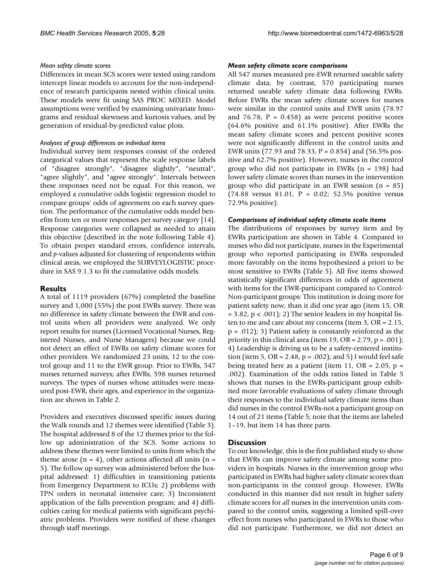#### *Mean safety climate scores*

Differences in mean SCS scores were tested using random intercept linear models to account for the non-independence of research participants nested within clinical units. These models were fit using SAS PROC MIXED. Model assumptions were verified by examining univariate histograms and residual skewness and kurtosis values, and by generation of residual-by-predicted value plots.

#### *Analyses of group differences on individual items*

Individual survey item responses consist of the ordered categorical values that represent the scale response labels of "disagree strongly", "disagree slightly", "neutral", "agree slightly", and "agree strongly". Intervals between these responses need not be equal. For this reason, we employed a cumulative odds logistic regression model to compare groups' odds of agreement on each survey question. The performance of the cumulative odds model benefits from ten or more responses per survey category [14]. Response categories were collapsed as needed to attain this objective (described in the note following Table 4). To obtain proper standard errors, confidence intervals, and *p*-values adjusted for clustering of respondents within clinical areas, we employed the SURVEYLOGISTIC procedure in SAS 9.1.3 to fit the cumulative odds models.

#### **Results**

A total of 1119 providers (67%) completed the baseline survey and 1,000 (55%) the post EWRs survey. There was no difference in safety climate between the EWR and control units when all providers were analyzed. We only report results for nurses (Licensed Vocational Nurses, Registered Nurses, and Nurse Managers) because we could not detect an effect of EWRs on safety climate scores for other providers. We randomized 23 units, 12 to the control group and 11 to the EWR group. Prior to EWRs, 547 nurses returned surveys; after EWRs, 598 nurses returned surveys. The types of nurses whose attitudes were measured post-EWR, their ages, and experience in the organization are shown in Table 2.

Providers and executives discussed specific issues during the Walk rounds and 12 themes were identified (Table 3). The hospital addressed 8 of the 12 themes prior to the follow up administration of the SCS. Some actions to address these themes were limited to units from which the theme arose  $(n = 4)$ , other actions affected all units  $(n = 1)$ 5). The follow up survey was administered before the hospital addressed: 1) difficulties in transitioning patients from Emergency Department to ICUs; 2) problems with TPN orders in neonatal intensive care; 3) Inconsistent application of the falls prevention program; and 4) difficulties caring for medical patients with significant psychiatric problems. Providers were notified of these changes through staff meetings.

#### *Mean safety climate score comparisons*

All 547 nurses measured pre-EWR returned useable safety climate data; by contrast, 570 participating nurses returned useable safety climate data following EWRs. Before EWRs the mean safety climate scores for nurses were similar in the control units and EWR units (78.97 and 76.78,  $P = 0.458$ ) as were percent positive scores (64.6% positive and 61.1% positive). After EWRs the mean safety climate scores and percent positive scores were not significantly different in the control units and EWR units (77.93 and 78.33, P = 0.854) and (56.5% positive and 62.7% positive). However, nurses in the control group who did not participate in EWRs (n = 198) had lower safety climate scores than nurses in the intervention group who did participate in an EWR session  $(n = 85)$ (74.88 versus 81.01,  $P = 0.02$ ; 52.5% positive versus 72.9% positive).

#### *Comparisons of individual safety climate scale items*

The distributions of responses by survey item and by EWRs participation are shown in Table 4. Compared to nurses who did not participate, nurses in the Experimental group who reported participating in EWRs responded more favorably on the items hypothesized a priori to be most sensitive to EWRs (Table 5). All five items showed statistically significant differences in odds of agreement with items for the EWR-participant compared to Control-Non-participant groups: This institution is doing more for patient safety now, than it did one year ago (item 15, OR  $= 3.82$ ,  $p < .001$ ); 2) The senior leaders in my hospital listen to me and care about my concerns (item 3, OR = 2.15, p = .012); 3) Patient safety is constantly reinforced as the priority in this clinical area (item 19,  $OR = 2.79$ ,  $p = .001$ ); 4) Leadership is driving us to be a safety-centered institution (item 5,  $OR = 2.48$ ,  $p = .002$ ); and 5) I would feel safe being treated here as a patient (item 11, OR =  $2.05$ , p = .002). Examination of the odds ratios listed in Table 5 shows that nurses in the EWRs-participant group exhibited more favorable evaluations of safety climate through their responses to the individual safety climate items than did nurses in the control EWRs-not a participant group on 14 out of 21 items (Table 5; note that the items are labeled 1–19, but item 14 has three parts.

#### **Discussion**

To our knowledge, this is the first published study to show that EWRs can improve safety climate among some providers in hospitals. Nurses in the intervention group who participated in EWRs had higher safety climate scores than non-participants in the control group. However, EWRs conducted in this manner did not result in higher safety climate scores for *all* nurses in the intervention units compared to the control units, suggesting a limited spill-over effect from nurses who participated in EWRs to those who did not participate. Furthermore, we did not detect an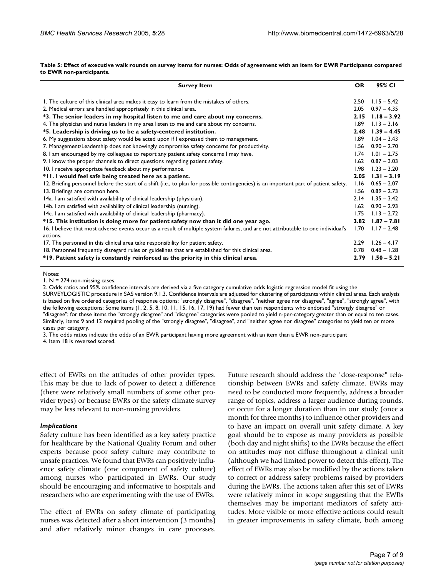**Table 5: Effect of executive walk rounds on survey items for nurses: Odds of agreement with an item for EWR Participants compared to EWR non-participants.**

| <b>Survey Item</b>                                                                                                                    | <b>OR</b> | 95% CI        |
|---------------------------------------------------------------------------------------------------------------------------------------|-----------|---------------|
| 1. The culture of this clinical area makes it easy to learn from the mistakes of others.                                              | 2.50      | $1.15 - 5.42$ |
| 2. Medical errors are handled appropriately in this clinical area.                                                                    | 2.05      | $0.97 - 4.35$ |
| *3. The senior leaders in my hospital listen to me and care about my concerns.                                                        | 2.15      | $1.18 - 3.92$ |
| 4. The physician and nurse leaders in my area listen to me and care about my concerns.                                                | 1.89      | $1.13 - 3.16$ |
| *5. Leadership is driving us to be a safety-centered institution.                                                                     |           |               |
| 6. My suggestions about safety would be acted upon if I expressed them to management.                                                 | 1.89      | $1.04 - 3.43$ |
| 7. Management/Leadership does not knowingly compromise safety concerns for productivity.                                              | 1.56      | $0.90 - 2.70$ |
| 8. I am encouraged by my colleagues to report any patient safety concerns I may have.                                                 | 1.74      | $1.01 - 2.75$ |
| 9. I know the proper channels to direct questions regarding patient safety.                                                           | 1.62      | $0.87 - 3.03$ |
| 10. I receive appropriate feedback about my performance.                                                                              | 1.98      | $1.23 - 3.20$ |
| *II. I would feel safe being treated here as a patient.                                                                               | 2.05      | $1.31 - 3.19$ |
| 12. Briefing personnel before the start of a shift (i.e., to plan for possible contingencies) is an important part of patient safety. | 1.16      | $0.65 - 2.07$ |
| 13. Briefings are common here.                                                                                                        | 1.56      | $0.89 - 2.73$ |
| 14a. I am satisfied with availability of clinical leadership (physician).                                                             | 2.14      | $1.35 - 3.42$ |
| 14b. I am satisfied with availability of clinical leadership (nursing).                                                               | 1.62      | $0.90 - 2.93$ |
| 14c. I am satisfied with availability of clinical leadership (pharmacy).                                                              | 1.75      | $1.13 - 2.72$ |
| *15. This institution is doing more for patient safety now than it did one year ago.                                                  | 3.82      | $1.87 - 7.81$ |
| 16. I believe that most adverse events occur as a result of multiple system failures, and are not attributable to one individual's    | 1.70      | $1.17 - 2.48$ |
| actions.                                                                                                                              |           |               |
| 17. The personnel in this clinical area take responsibility for patient safety.                                                       | 2.29      | $1.26 - 4.17$ |
| 18. Personnel frequently disregard rules or guidelines that are established for this clinical area.                                   | 0.78      | $0.48 - 1.28$ |
| *19. Patient safety is constantly reinforced as the priority in this clinical area.                                                   | 2.79      | $1.50 - 5.21$ |

Notes:

1. N = 274 non-missing cases.

2. Odds ratios and 95% confidence intervals are derived via a five category cumulative odds logistic regression model fit using the

SURVEYLOGISTIC procedure in SAS version 9.1.3. Confidence intervals are adjusted for clustering of participants within clinical areas. Each analysis is based on five ordered categories of response options: "strongly disagree", "disagree", "neither agree nor disagree", "agree", "strongly agree", with the following exceptions: Some items (1, 2, 5, 8, 10, 11, 15, 16, 17, 19) had fewer than ten respondents who endorsed "strongly disagree" or "disagree"; for these items the "strongly disagree" and "disagree" categories were pooled to yield n-per-category greater than or equal to ten cases. Similarly, items 9 and 12 required pooling of the "strongly disagree", "disagree", and "neither agree nor disagree" categories to yield ten or more cases per category.

3. The odds ratios indicate the odds of an EWR participant having more agreement with an item than a EWR non-participant

4. Item 18 is reversed scored.

effect of EWRs on the attitudes of other provider types. This may be due to lack of power to detect a difference (there were relatively small numbers of some other provider types) or because EWRs or the safety climate survey may be less relevant to non-nursing providers.

#### *Implications*

Safety culture has been identified as a key safety practice for healthcare by the National Quality Forum and other experts because poor safety culture may contribute to unsafe practices. We found that EWRs can positively influence safety climate (one component of safety culture) among nurses who participated in EWRs. Our study should be encouraging and informative to hospitals and researchers who are experimenting with the use of EWRs.

The effect of EWRs on safety climate of participating nurses was detected after a short intervention (3 months) and after relatively minor changes in care processes.

Future research should address the "dose-response" relationship between EWRs and safety climate. EWRs may need to be conducted more frequently, address a broader range of topics, address a larger audience during rounds, or occur for a longer duration than in our study (once a month for three months) to influence other providers and to have an impact on overall unit safety climate. A key goal should be to expose as many providers as possible (both day and night shifts) to the EWRs because the effect on attitudes may not diffuse throughout a clinical unit (although we had limited power to detect this effect). The effect of EWRs may also be modified by the actions taken to correct or address safety problems raised by providers during the EWRs. The actions taken after this set of EWRs were relatively minor in scope suggesting that the EWRs themselves may be important mediators of safety attitudes. More visible or more effective actions could result in greater improvements in safety climate, both among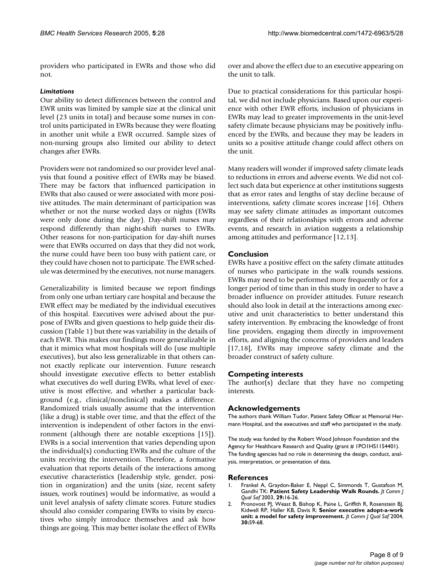providers who participated in EWRs and those who did not.

#### *Limitations*

Our ability to detect differences between the control and EWR units was limited by sample size at the clinical unit level (23 units in total) and because some nurses in control units participated in EWRs because they were floating in another unit while a EWR occurred. Sample sizes of non-nursing groups also limited our ability to detect changes after EWRs.

Providers were not randomized so our provider level analysis that found a positive effect of EWRs may be biased. There may be factors that influenced participation in EWRs that also caused or were associated with more positive attitudes. The main determinant of participation was whether or not the nurse worked days or nights (EWRs were only done during the day). Day-shift nurses may respond differently than night-shift nurses to EWRs. Other reasons for non-participation for day-shift nurses were that EWRs occurred on days that they did not work, the nurse could have been too busy with patient care, or they could have chosen not to participate. The EWR schedule was determined by the executives, not nurse managers.

Generalizability is limited because we report findings from only one urban tertiary care hospital and because the EWR effect may be mediated by the individual executives of this hospital. Executives were advised about the purpose of EWRs and given questions to help guide their discussion (Table [1](#page-2-0)) but there was variability in the details of each EWR. This makes our findings more generalizable in that it mimics what most hospitals will do (use multiple executives), but also less generalizable in that others cannot exactly replicate our intervention. Future research should investigate executive effects to better establish what executives do well during EWRs, what level of executive is most effective, and whether a particular background (e.g., clinical/nonclinical) makes a difference. Randomized trials usually assume that the intervention (like a drug) is stable over time, and that the effect of the intervention is independent of other factors in the environment (although there are notable exceptions [15]). EWRs is a social intervention that varies depending upon the individual(s) conducting EWRs and the culture of the units receiving the intervention. Therefore, a formative evaluation that reports details of the interactions among executive characteristics (leadership style, gender, position in organization) and the units (size, recent safety issues, work routines) would be informative, as would a unit level analysis of safety climate scores. Future studies should also consider comparing EWRs to visits by executives who simply introduce themselves and ask how things are going. This may better isolate the effect of EWRs over and above the effect due to an executive appearing on the unit to talk.

Due to practical considerations for this particular hospital, we did not include physicians. Based upon our experience with other EWR efforts, inclusion of physicians in EWRs may lead to greater improvements in the unit-level safety climate because physicians may be positively influenced by the EWRs, and because they may be leaders in units so a positive attitude change could affect others on the unit.

Many readers will wonder if improved safety climate leads to reductions in errors and adverse events. We did not collect such data but experience at other institutions suggests that as error rates and lengths of stay decline because of interventions, safety climate scores increase [16]. Others may see safety climate attitudes as important outcomes regardless of their relationships with errors and adverse events, and research in aviation suggests a relationship among attitudes and performance [12,13].

#### **Conclusion**

EWRs have a positive effect on the safety climate attitudes of nurses who participate in the walk rounds sessions. EWRs may need to be performed more frequently or for a longer period of time than in this study in order to have a broader influence on provider attitudes. Future research should also look in detail at the interactions among executive and unit characteristics to better understand this safety intervention. By embracing the knowledge of front line providers, engaging them directly in improvement efforts, and aligning the concerns of providers and leaders [17,18], EWRs may improve safety climate and the broader construct of safety culture.

#### **Competing interests**

The author(s) declare that they have no competing interests.

#### **Acknowledgements**

The authors thank William Tudor, Patient Safety Officer at Memorial Hermann Hospital, and the executives and staff who participated in the study.

The study was funded by the Robert Wood Johnson Foundation and the Agency for Healthcare Research and Quality (grant # IPO1HS1154401). The funding agencies had no role in determining the design, conduct, analysis, interpretation, or presentation of data.

#### **References**

- 1. Frankel A, Graydon-Baker E, Neppl C, Simmonds T, Gustafson M, Gandhi TK: **[Patient Safety Leadership Walk Rounds.](http://www.ncbi.nlm.nih.gov/entrez/query.fcgi?cmd=Retrieve&db=PubMed&dopt=Abstract&list_uids=12528570)** *Jt Comm J Qual Saf* 2003, **29:**16-26.
- 2. Pronovost PJ, Weast B, Bishop K, Paine L, Griffith R, Rosenstein BJ, Kidwell RP, Haller KB, Davis R: **[Senior executive adopt-a-work](http://www.ncbi.nlm.nih.gov/entrez/query.fcgi?cmd=Retrieve&db=PubMed&dopt=Abstract&list_uids=14986336) [unit: a model for safety improvement.](http://www.ncbi.nlm.nih.gov/entrez/query.fcgi?cmd=Retrieve&db=PubMed&dopt=Abstract&list_uids=14986336)** *Jt Comm J Qual Saf* 2004, **30:**59-68.